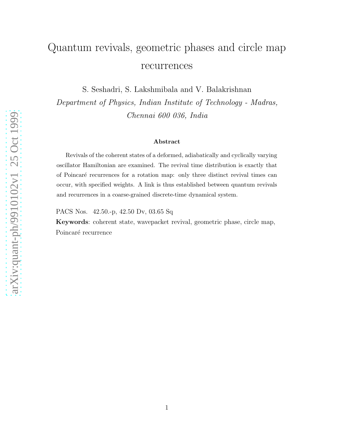## Quantum revivals, geometric phases and circle map recurrences

S. Seshadri, S. Lakshmibala and V. Balakrishnan

Department of Physics, Indian Institute of Technology - Madras, Chennai 600 036, India

## Abstract

Revivals of the coherent states of a deformed, adiabatically and cyclically varying oscillator Hamiltonian are examined. The revival time distribution is exactly that of Poincar´e recurrences for a rotation map: only three distinct revival times can occur, with specified weights. A link is thus established between quantum revivals and recurrences in a coarse-grained discrete-time dynamical system.

PACS Nos. 42.50.-p, 42.50 Dv, 03.65 Sq

Keywords: coherent state, wavepacket revival, geometric phase, circle map, Poincaré recurrence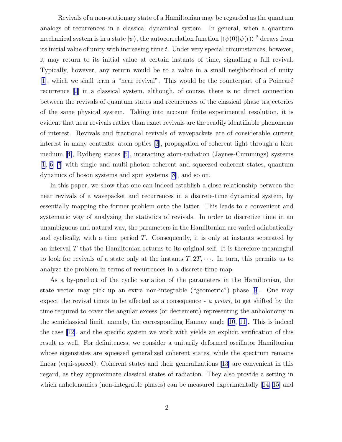Revivals of a non-stationary state of a Hamiltonian may be regarded as the quantum analogs of recurrences in a classical dynamical system. In general, when a quantum mechanical system is in a state  $|\psi\rangle$ , the autocorrelation function  $|\langle \psi(0)|\psi(t)\rangle|^2$  decays from its initial value of unity with increasing time t. Under very special circumstances, however, it may return to its initial value at certain instants of time, signalling a full revival. Typically, however, any return would be to a value in a small neighborhood of unity  $[1]$  $[1]$ , which we shall term a "near revival". This would be the counterpart of a Poincaré recurrence [\[2](#page-7-0)] in a classical system, although, of course, there is no direct connection between the revivals of quantum states and recurrences of the classical phase trajectories of the same physical system. Taking into account finite experimental resolution, it is evident that near revivals rather than exact revivals are the readily identifiable phenomena of interest. Revivals and fractional revivals of wavepackets are of considerable current interest in many contexts: atom optics [\[3](#page-7-0)], propagation of coherent light through a Kerr medium[[4\]](#page-7-0), Rydberg states[[5\]](#page-7-0), interacting atom-radiation (Jaynes-Cummings) systems [\[1](#page-7-0), [6](#page-7-0), [7\]](#page-7-0) with single and multi-photon coherent and squeezed coherent states, quantum dynamics of boson systems and spin systems [\[8](#page-7-0)], and so on.

In this paper, we show that one can indeed establish a close relationship between the near revivals of a wavepacket and recurrences in a discrete-time dynamical system, by essentially mapping the former problem onto the latter. This leads to a convenient and systematic way of analyzing the statistics of revivals. In order to discretize time in an unambiguous and natural way, the parameters in the Hamiltonian are varied adiabatically and cyclically, with a time period T. Consequently, it is only at instants separated by an interval  $T$  that the Hamiltonian returns to its original self. It is therefore meaningful to look for revivals of a state only at the instants  $T, 2T, \cdots$ . In turn, this permits us to analyze the problem in terms of recurrences in a discrete-time map.

As a by-product of the cyclic variation of the parameters in the Hamiltonian, the state vector may pick up an extra non-integrable ("geometric") phase[[9](#page-7-0)]. One may expect the revival times to be affected as a consequence - a priori, to get shifted by the time required to cover the angular excess (or decrement) representing the anholonomy in the semiclassical limit, namely, the corresponding Hannay angle [\[10](#page-7-0), [11\]](#page-7-0). This is indeed the case[[12\]](#page-7-0), and the specific system we work with yields an explicit verification of this result as well. For definiteness, we consider a unitarily deformed oscillator Hamiltonian whose eigenstates are squeezed generalized coherent states, while the spectrum remains linear (equi-spaced). Coherent states and their generalizations [\[13\]](#page-7-0) are convenient in this regard, as they approximate classical states of radiation. They also provide a setting in whichanholonomies (non-integrable phases) can be measured experimentally [[14,](#page-7-0) [15](#page-8-0)] and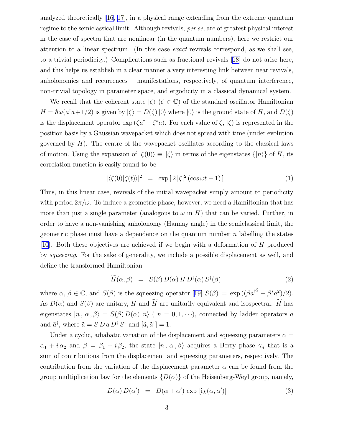analyzed theoretically [\[16](#page-8-0), [17\]](#page-8-0), in a physical range extending from the extreme quantum regime to the semiclassical limit. Although revivals, per se, are of greatest physical interest in the case of spectra that are nonlinear (in the quantum numbers), here we restrict our attention to a linear spectrum. (In this case exact revivals correspond, as we shall see, to a trivial periodicity.) Complications such as fractional revivals [\[18](#page-8-0)] do not arise here, and this helps us establish in a clear manner a very interesting link between near revivals, anholonomies and recurrences – manifestations, respectively, of quantum interference, non-trivial topology in parameter space, and ergodicity in a classical dynamical system.

We recall that the coherent state  $\langle \zeta \rangle$  ( $\zeta \in \mathbb{C}$ ) of the standard oscillator Hamiltonian  $H = \hbar \omega (a^{\dagger} a + 1/2)$  is given by  $|\zeta\rangle = D(\zeta) |0\rangle$  where  $|0\rangle$  is the ground state of H, and  $D(\zeta)$ is the displacement operator  $\exp(\zeta a^{\dagger} - \zeta^* a)$ . For each value of  $\zeta$ ,  $|\zeta\rangle$  is represented in the position basis by a Gaussian wavepacket which does not spread with time (under evolution governed by  $H$ ). The centre of the wavepacket oscillates according to the classical laws of motion. Using the expansion of  $|\zeta(0)\rangle \equiv |\zeta\rangle$  in terms of the eigenstates  $\{|n\rangle\}$  of H, its correlation function is easily found to be

$$
|\langle \zeta(0) | \zeta(t) \rangle|^2 = \exp \left[ 2 |\zeta|^2 (\cos \omega t - 1) \right]. \tag{1}
$$

Thus, in this linear case, revivals of the initial wavepacket simply amount to periodicity with period  $2\pi/\omega$ . To induce a geometric phase, however, we need a Hamiltonian that has more than just a single parameter (analogous to  $\omega$  in H) that can be varied. Further, in order to have a non-vanishing anholonomy (Hannay angle) in the semiclassical limit, the geometric phase must have a dependence on the quantum number  $n$  labelling the states [\[10](#page-7-0)]. Both these objectives are achieved if we begin with a deformation of H produced by squeezing. For the sake of generality, we include a possible displacement as well, and define the transformed Hamiltonian

$$
\widetilde{H}(\alpha,\beta) = S(\beta) D(\alpha) H D^{\dagger}(\alpha) S^{\dagger}(\beta)
$$
\n(2)

where $\alpha, \beta \in \mathbb{C}$ , and  $S(\beta)$  is the squeezing operator [[19\]](#page-8-0)  $S(\beta) = \exp((\beta a^{\dagger}^2 - \beta^* a^2)/2)$ . As  $D(\alpha)$  and  $S(\beta)$  are unitary, H and H are unitarily equivalent and isospectral. H has eigenstates  $|n, \alpha, \beta\rangle = S(\beta) D(\alpha) |n\rangle$  (  $n = 0, 1, \dots$ ), connected by ladder operators  $\tilde{a}$ and  $\tilde{a}^{\dagger}$ , where  $\tilde{a} = S D a D^{\dagger} S^{\dagger}$  and  $[\tilde{a}, \tilde{a}^{\dagger}] = 1$ .

Under a cyclic, adiabatic variation of the displacement and squeezing parameters  $\alpha =$  $\alpha_1 + i \alpha_2$  and  $\beta = \beta_1 + i \beta_2$ , the state  $|n, \alpha, \beta\rangle$  acquires a Berry phase  $\gamma_n$  that is a sum of contributions from the displacement and squeezing parameters, respectively. The contribution from the variation of the displacement parameter  $\alpha$  can be found from the group multiplication law for the elements  $\{D(\alpha)\}\$  of the Heisenberg-Weyl group, namely,

$$
D(\alpha) D(\alpha') = D(\alpha + \alpha') \exp[i\chi(\alpha, \alpha')]
$$
\n(3)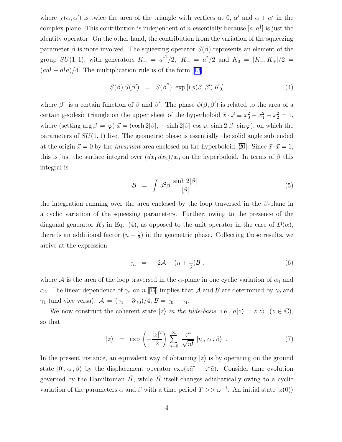where  $\chi(\alpha, \alpha')$  is twice the area of the triangle with vertices at 0,  $\alpha'$  and  $\alpha + \alpha'$  in the complex plane. This contribution is independent of n essentially because  $[a, a^{\dagger}]$  is just the identity operator. On the other hand, the contribution from the variation of the squeezing parameter  $\beta$  is more involved. The squeezing operator  $S(\beta)$  represents an element of the group  $SU(1,1)$ , with generators  $K_{+} = a^{\dagger 2}/2$ ,  $K_{-} = a^{2}/2$  and  $K_{0} = [K_{-}, K_{+}]/2 =$  $(aa^{\dagger} + a^{\dagger}a)/4$  $(aa^{\dagger} + a^{\dagger}a)/4$  $(aa^{\dagger} + a^{\dagger}a)/4$ . The multiplication rule is of the form [[13](#page-7-0)]

$$
S(\beta) S(\beta') = S(\beta'') \exp[i \phi(\beta, \beta') K_0]
$$
 (4)

where  $\beta''$  is a certain function of  $\beta$  and  $\beta'$ . The phase  $\phi(\beta, \beta')$  is related to the area of a certain geodesic triangle on the upper sheet of the hyperboloid  $\vec{x} \cdot \vec{x} \equiv x_0^2 - x_1^2 - x_2^2 = 1$ , where (setting  $\arg \beta = \varphi$ )  $\vec{x} = (\cosh 2|\beta|, -\sinh 2|\beta| \cos \varphi, \sinh 2|\beta| \sin \varphi)$ , on which the parameters of  $SU(1,1)$  live. The geometric phase is essentially the solid angle subtended atthe origin  $\vec{x} = 0$  by the *invariant* area enclosed on the hyperboloid [[20](#page-8-0)]. Since  $\vec{x} \cdot \vec{x} = 1$ , this is just the surface integral over  $(dx_1 dx_2)/x_0$  on the hyperboloid. In terms of  $\beta$  this integral is

$$
\mathcal{B} = \int d^2 \beta \, \frac{\sinh 2|\beta|}{|\beta|} \,, \tag{5}
$$

the integration running over the area enclosed by the loop traversed in the  $\beta$ -plane in a cyclic variation of the squeezing parameters. Further, owing to the presence of the diagonal generator  $K_0$  in Eq. (4), as opposed to the unit operator in the case of  $D(\alpha)$ , there is an additional factor  $(n+\frac{1}{2})$  $\frac{1}{2}$ ) in the geometric phase. Collecting these results, we arrive at the expression

$$
\gamma_n = -2\mathcal{A} - (n + \frac{1}{2})\mathcal{B} \,, \tag{6}
$$

where A is the area of the loop traversed in the  $\alpha$ -plane in one cyclic variation of  $\alpha_1$  and  $\alpha_2$ . The linear dependence of  $\gamma_n$  on n [[17](#page-8-0)] implies that A and B are determined by  $\gamma_0$  and  $\gamma_1$  (and vice versa):  $\mathcal{A} = (\gamma_1 - 3\gamma_0)/4, \mathcal{B} = \gamma_0 - \gamma_1.$ 

We now construct the coherent state  $|z\rangle$  in the tilde-basis, i.e.,  $\tilde{a}|z\rangle = z|z\rangle$   $(z \in \mathbb{C}),$ so that

$$
|z\rangle = \exp\left(-\frac{|z|^2}{2}\right) \sum_{n=0}^{\infty} \frac{z^n}{\sqrt{n!}} |n, \alpha, \beta\rangle . \tag{7}
$$

In the present instance, an equivalent way of obtaining  $|z\rangle$  is by operating on the ground state  $|0, \alpha, \beta\rangle$  by the displacement operator  $\exp(z\tilde{a}^{\dagger} - z^*\tilde{a})$ . Consider time evolution governed by the Hamiltonian  $\widetilde{H}$ , while  $\widetilde{H}$  itself changes adiabatically owing to a cyclic variation of the parameters  $\alpha$  and  $\beta$  with a time period  $T >> \omega^{-1}$ . An initial state  $|z(0)\rangle$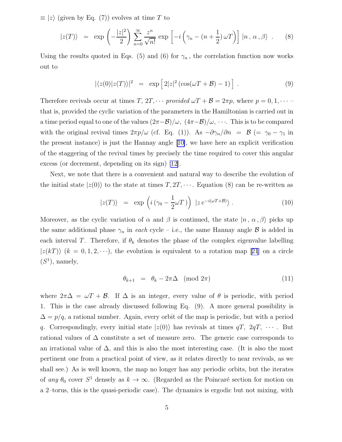$\equiv$  |z} (given by Eq. (7)) evolves at time T to

$$
|z(T)\rangle = \exp\left(-\frac{|z|^2}{2}\right) \sum_{n=0}^{\infty} \frac{z^n}{\sqrt{n!}} \exp\left[-i\left(\gamma_n - (n+\frac{1}{2})\,\omega T\right)\right] |n, \alpha, \beta\rangle. \tag{8}
$$

Using the results quoted in Eqs. (5) and (6) for  $\gamma_n$ , the correlation function now works out to

$$
|\langle z(0)|z(T)\rangle|^2 = \exp\left[2|z|^2(\cos(\omega T + \mathcal{B}) - 1)\right]. \tag{9}
$$

Therefore revivals occur at times T,  $2T, \cdots$  provided  $\omega T + \mathcal{B} = 2\pi p$ , where  $p = 0, 1, \cdots$ that is, provided the cyclic variation of the parameters in the Hamiltonian is carried out in a time period equal to one of the values  $(2\pi-\mathcal{B})/\omega$ ,  $(4\pi-\mathcal{B})/\omega$ ,  $\cdots$ . This is to be compared with the original revival times  $2\pi p/\omega$  (cf. Eq. (1)). As  $-\partial \gamma_n/\partial n = \mathcal{B}$  (=  $\gamma_0 - \gamma_1$  in the present instance) is just the Hannay angle[[10\]](#page-7-0), we have here an explicit verification of the staggering of the revival times by precisely the time required to cover this angular excess (or decrement, depending on its sign)[[12\]](#page-7-0).

Next, we note that there is a convenient and natural way to describe the evolution of the initial state  $|z(0)\rangle$  to the state at times  $T, 2T, \cdots$ . Equation (8) can be re-written as

$$
|z(T)\rangle = \exp\left(i\left(\gamma_0 - \frac{1}{2}\omega T\right)\right)|z e^{-i(\omega T + \mathcal{B})}\rangle. \tag{10}
$$

Moreover, as the cyclic variation of  $\alpha$  and  $\beta$  is continued, the state  $|n, \alpha, \beta\rangle$  picks up the same additional phase  $\gamma_n$  in each cycle – i.e., the same Hannay angle  $\beta$  is added in each interval T. Therefore, if  $\theta_k$  denotes the phase of the complex eigenvalue labelling  $|z(kT)\rangle$  $(k = 0, 1, 2, \cdots)$ , the evolution is equivalent to a rotation map [[21](#page-8-0)] on a circle  $(S^1)$ , namely,

$$
\theta_{k+1} = \theta_k - 2\pi\Delta \pmod{2\pi} \tag{11}
$$

where  $2\pi\Delta = \omega T + \mathcal{B}$ . If  $\Delta$  is an integer, every value of  $\theta$  is periodic, with period 1. This is the case already discussed following Eq. (9). A more general possibility is  $\Delta = p/q$ , a rational number. Again, every orbit of the map is periodic, but with a period q. Correspondingly, every initial state  $|z(0)\rangle$  has revivals at times  $qT$ ,  $2qT$ ,  $\cdots$ . But rational values of  $\Delta$  constitute a set of measure zero. The generic case corresponds to an irrational value of  $\Delta$ , and this is also the most interesting case. (It is also the most pertinent one from a practical point of view, as it relates directly to near revivals, as we shall see.) As is well known, the map no longer has any periodic orbits, but the iterates of any  $\theta_0$  cover  $S^1$  densely as  $k \to \infty$ . (Regarded as the Poincaré section for motion on a 2–torus, this is the quasi-periodic case). The dynamics is ergodic but not mixing, with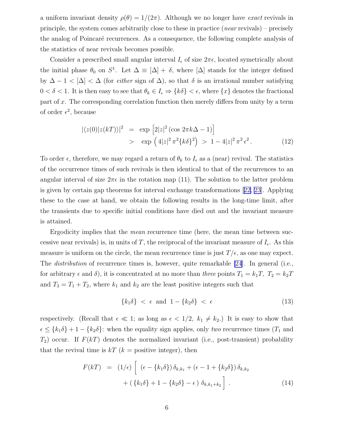a uniform invariant density  $\rho(\theta) = 1/(2\pi)$ . Although we no longer have *exact* revivals in principle, the system comes arbitrarily close to these in practice  $(near$  revivals) – precisely the analog of Poincaré recurrences. As a consequence, the following complete analysis of the statistics of near revivals becomes possible.

Consider a prescribed small angular interval  $I_{\epsilon}$  of size  $2\pi\epsilon$ , located symetrically about the initial phase  $\theta_0$  on  $S^1$ . Let  $\Delta \equiv [\Delta] + \delta$ , where  $[\Delta]$  stands for the integer defined by  $\Delta - 1 < |\Delta| < \Delta$  (for *either* sign of  $\Delta$ ), so that  $\delta$  is an irrational number satisfying  $0 < \delta < 1$ . It is then easy to see that  $\theta_k \in I_\epsilon \Rightarrow \{k\delta\} < \epsilon$ , where  $\{x\}$  denotes the fractional part of x. The corresponding correlation function then merely differs from unity by a term of order  $\epsilon^2$ , because

$$
|\langle z(0)|z(kT)\rangle|^2 = \exp [2|z|^2(\cos 2\pi k\Delta - 1)]
$$
  
> 
$$
\exp (4|z|^2 \pi^2 \{k\delta\}^2) > 1 - 4|z|^2 \pi^2 \epsilon^2.
$$
 (12)

To order  $\epsilon$ , therefore, we may regard a return of  $\theta_k$  to  $I_{\epsilon}$  as a (near) revival. The statistics of the occurrence times of such revivals is then identical to that of the recurrences to an angular interval of size  $2\pi\epsilon$  in the rotation map (11). The solution to the latter problem is given by certain gap theorems for interval exchange transformations[[22, 23](#page-8-0)]. Applying these to the case at hand, we obtain the following results in the long-time limit, after the transients due to specific initial conditions have died out and the invariant measure is attained.

Ergodicity implies that the *mean* recurrence time (here, the mean time between successive near revivals) is, in units of T, the reciprocal of the invariant measure of  $I_{\epsilon}$ . As this measure is uniform on the circle, the mean recurrence time is just  $T/\epsilon$ , as one may expect. The *distribution* of recurrence times is, however, quite remarkable [\[24](#page-8-0)]. In general (i.e., for arbitrary  $\epsilon$  and  $\delta$ ), it is concentrated at no more than three points  $T_1 = k_1T$ ,  $T_2 = k_2T$ and  $T_3 = T_1 + T_2$ , where  $k_1$  and  $k_2$  are the least positive integers such that

$$
\{k_1\delta\} < \epsilon \text{ and } 1 - \{k_2\delta\} < \epsilon \tag{13}
$$

respectively. (Recall that  $\epsilon \ll 1$ ; as long as  $\epsilon < 1/2$ ,  $k_1 \neq k_2$ .) It is easy to show that  $\epsilon \leq \{k_1\delta\} + 1 - \{k_2\delta\}$ : when the equality sign applies, only *two* recurrence times ( $T_1$  and  $T_2$ ) occur. If  $F(kT)$  denotes the normalized invariant (i.e., post-transient) probability that the revival time is  $kT$  ( $k =$  positive integer), then

$$
F(kT) = (1/\epsilon) \left[ (\epsilon - \{k_1 \delta\}) \delta_{k,k_1} + (\epsilon - 1 + \{k_2 \delta\}) \delta_{k,k_2} + (\{k_1 \delta\} + 1 - \{k_2 \delta\}) - \epsilon) \delta_{k,k_1+k_2} \right].
$$
 (14)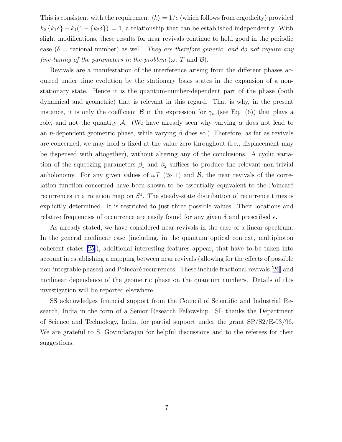This is consistent with the requirement  $\langle k \rangle = 1/\epsilon$  (which follows from ergodicity) provided  $k_2 \{k_1 \delta\} + k_1(1 - \{k_2 \delta\}) = 1$ , a relationship that can be established independently. With slight modifications, these results for near revivals continue to hold good in the periodic case ( $\delta$  = rational number) as well. They are therefore generic, and do not require any fine-tuning of the parameters in the problem  $(\omega, T \text{ and } \mathcal{B})$ .

Revivals are a manifestation of the interference arising from the different phases acquired under time evolution by the stationary basis states in the expansion of a nonstationary state. Hence it is the quantum-number-dependent part of the phase (both dynamical and geometric) that is relevant in this regard. That is why, in the present instance, it is only the coefficient  $\beta$  in the expression for  $\gamma_n$  (see Eq. (6)) that plays a role, and not the quantity A. (We have already seen why varying  $\alpha$  does not lead to an *n*-dependent geometric phase, while varying  $\beta$  does so.) Therefore, as far as revivals are concerned, we may hold  $\alpha$  fixed at the value zero throughout (i.e., displacement may be dispensed with altogether), without altering any of the conclusions. A cyclic variation of the squeezing parameters  $\beta_1$  and  $\beta_2$  suffices to produce the relevant non-trivial anholonomy. For any given values of  $\omega T$  ( $\gg 1$ ) and  $\mathcal{B}$ , the near revivals of the correlation function concerned have been shown to be essentially equivalent to the Poincaré recurrences in a rotation map on  $S<sup>1</sup>$ . The steady-state distribution of recurrence times is explicitly determined. It is restricted to just three possible values. Their locations and relative frequencies of occurrence are easily found for any given  $\delta$  and prescribed  $\epsilon$ .

As already stated, we have considered near revivals in the case of a linear spectrum. In the general nonlinear case (including, in the quantum optical context, multiphoton coherent states [\[25\]](#page-8-0)), additional interesting features appear, that have to be taken into account in establishing a mapping between near revivals (allowing for the effects of possible non-integrablephases) and Poincaré recurrences. These include fractional revivals [[26\]](#page-8-0) and nonlinear dependence of the geometric phase on the quantum numbers. Details of this investigation will be reported elsewhere.

SS acknowledges financial support from the Council of Scientific and Industrial Research, India in the form of a Senior Research Fellowship. SL thanks the Department of Science and Technology, India, for partial support under the grant SP/S2/E-03/96. We are grateful to S. Govindarajan for helpful discussions and to the referees for their suggestions.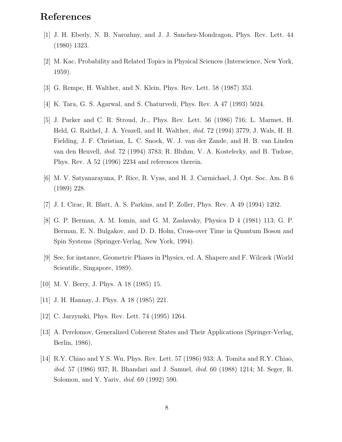## <span id="page-7-0"></span>References

- [1] J. H. Eberly, N. B. Narozhny, and J. J. Sanchez-Mondragon, Phys. Rev. Lett. 44 (1980) 1323.
- [2] M. Kac, Probability and Related Topics in Physical Sciences (Interscience, New York, 1959).
- [3] G. Rempe, H. Walther, and N. Klein, Phys. Rev. Lett. 58 (1987) 353.
- [4] K. Tara, G. S. Agarwal, and S. Chaturvedi, Phys. Rev. A 47 (1993) 5024.
- [5] J. Parker and C. R. Stroud, Jr., Phys. Rev. Lett. 56 (1986) 716; L. Marmet, H. Held, G. Raithel, J. A. Yeazell, and H. Walther, ibid. 72 (1994) 3779; J. Wals, H. H. Fielding, J. F. Christian, L. C. Snoek, W. J. van der Zande, and H. B. van Linden van den Heuvell, ibid. 72 (1994) 3783; R. Bluhm, V. A. Kostelecky, and B. Tudose, Phys. Rev. A 52 (1996) 2234 and references therein.
- [6] M. V. Satyanarayana, P. Rice, R. Vyas, and H. J. Carmichael, J. Opt. Soc. Am. B 6 (1989) 228.
- [7] J. I. Cirac, R. Blatt, A. S. Parkins, and P. Zoller, Phys. Rev. A 49 (1994) 1202.
- [8] G. P. Berman, A. M. Iomin, and G. M. Zaslavsky, Physica D 4 (1981) 113; G. P. Berman, E. N. Bulgakov, and D. D. Holm, Cross-over Time in Quantum Boson and Spin Systems (Springer-Verlag, New York, 1994).
- [9] See, for instance, Geometric Phases in Physics, ed. A. Shapere and F. Wilczek (World Scientific, Singapore, 1989).
- [10] M. V. Berry, J. Phys. A 18 (1985) 15.
- [11] J. H. Hannay, J. Phys. A 18 (1985) 221.
- [12] C. Jarzynski, Phys. Rev. Lett. 74 (1995) 1264.
- [13] A. Perelomov, Generalized Coherent States and Their Applications (Springer-Verlag, Berlin, 1986).
- [14] R.Y. Chiao and Y.S. Wu, Phys. Rev. Lett. 57 (1986) 933; A. Tomita and R.Y. Chiao, *ibid.* 57 (1986) 937; R. Bhandari and J. Samuel, *ibid.* 60 (1988) 1214; M. Seger, R. Solomon, and Y. Yariv, ibid. 69 (1992) 590.